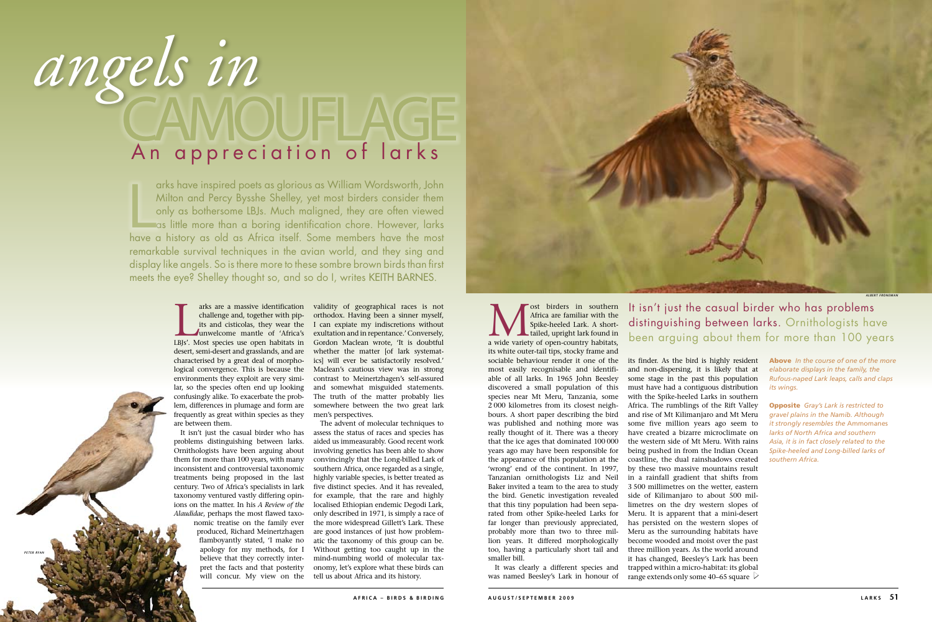## angels in An appreciation of larks

arks have inspired poets as glorious as William Wordsworth, John Milton and Percy Bysshe Shelley, yet most birders consider them only as bothersome LBJs. Much maligned, they are often viewed as little more than a boring identification chore. However, larks arks have inspired poets as glorious as William Wordsworth, John<br>Milton and Percy Bysshe Shelley, yet most birders consider them<br>only as bothersome LBJs. Much maligned, they are often viewed<br>as little more than a boring id remarkable survival techniques in the avian world, and they sing and display like angels. So is there more to these sombre brown birds than first meets the eye? Shelley thought so, and so do I, writes KEITH BARNES.

> arks are a massive identification<br>challenge and, together with pip-<br>its and cisticolas, they wear the<br>unwelcome mantle of 'Africa's<br>LBJs'. Most species use open habitats in challenge and, together with pipunwelcome mantle of 'Africa's desert, semi-desert and grasslands, and are characterised by a great deal of morphological convergence. This is because the Maclean's cautious view was in strong environments they exploit are very simi-contrast to Meinertzhagen's self-assured lar, so the species often end up looking confusingly alike. To exacerbate the problem, differences in plumage and form are frequently as great within species as they are between them.

problems distinguishing between larks. Ornithologists have been arguing about them for more than 100 years, with many inconsistent and controversial taxonomic treatments being proposed in the last century. Two of Africa's specialists in lark taxonomy ventured vastly differing opinions on the matter. In his *A Review of the Alaudidae*, perhaps the most flawed taxo-

arks are a massive identification validity of geographical races is not its and cisticolas, they wear the I can expiate my indiscretions without orthodox. Having been a sinner myself, exultation and in repentance.' Conversely, Gordon Maclean wrote, 'It is doubtful whether the matter [of lark systematics] will ever be satisfactorily resolved.' and somewhat misguided statements. The truth of the matter probably lies somewhere between the two great lark men's perspectives.

nomic treatise on the family ever produced, Richard Meinertzhagen flamboyantly stated, 'I make no apology for my methods, for I believe that they correctly interpret the facts and that posterity

**Musica** are familiar with the Spike-heeled Lark. A short-tailed, upright lark found in a wide variety of open-country habitats, Africa are familiar with the Spike-heeled Lark. A shorttailed, upright lark found in its white outer-tail tips, stocky frame and sociable behaviour render it one of the most easily recognisable and identifiable of all larks. In 1965 John Beesley discovered a small population of this species near Mt Meru, Tanzania, some 2 000 kilometres from its closest neighbours. A short paper describing the bird was published and nothing more was really thought of it. There was a theory that the ice ages that dominated 100 000 years ago may have been responsible for the appearance of this population at the 'wrong' end of the continent. In 1997, Tanzanian ornithologists Liz and Neil Baker invited a team to the area to study the bird. Genetic investigation revealed that this tiny population had been separated from other Spike-heeled Larks for far longer than previously appreciated, probably more than two to three million years. It differed morphologically too, having a particularly short tail and smaller bill. It was clearly a different species and

It isn't just the casual birder who has assess the status of races and species has will concur. My view on the tell us about Africa and its history. The advent of molecular techniques to aided us immeasurably. Good recent work involving genetics has been able to show convincingly that the Long-billed Lark of southern Africa, once regarded as a single, highly variable species, is better treated as five distinct species. And it has revealed, for example, that the rare and highly localised Ethiopian endemic Degodi Lark, only described in 1971, is simply a race of the more widespread Gillett's Lark. These are good instances of just how problematic the taxonomy of this group can be. Without getting too caught up in the mind-numbing world of molecular taxonomy, let's explore what these birds can

its finder. As the bird is highly resident and non-dispersing, it is likely that at some stage in the past this population must have had a contiguous distribution with the Spike-heeled Larks in southern Africa. The rumblings of the Rift Valley and rise of Mt Kilimanjaro and Mt Meru some five million years ago seem to have created a bizarre microclimate on the western side of Mt Meru. With rains being pushed in from the Indian Ocean coastline, the dual rainshadows created by these two massive mountains result in a rainfall gradient that shifts from 3 500 millimetres on the wetter, eastern side of Kilimanjaro to about 500 millimetres on the dry western slopes of Meru. It is apparent that a mini-desert has persisted on the western slopes of Meru as the surrounding habitats have become wooded and moist over the past three million years. As the world around it has changed, Beesley's Lark has been trapped within a micro-habitat: its global range extends only some 40–65 square  $~\triangleright$ 

was named Beesley's Lark in honour of

Above *In the course of one of the more elaborate displays in the family, the Rufous-naped Lark leaps, calls and claps its wings.*

Opposite *Gray's Lark is restricted to gravel plains in the Namib. Although it strongly resembles the* Ammomanes *larks of North Africa and southern Asia, it is in fact closely related to the Spike-heeled and Long-billed larks of southern Africa.*

## It isn't just the casual birder who has problems distinguishing between larks. Ornithologists have been arguing about them for more than 100 years



*peter ryan*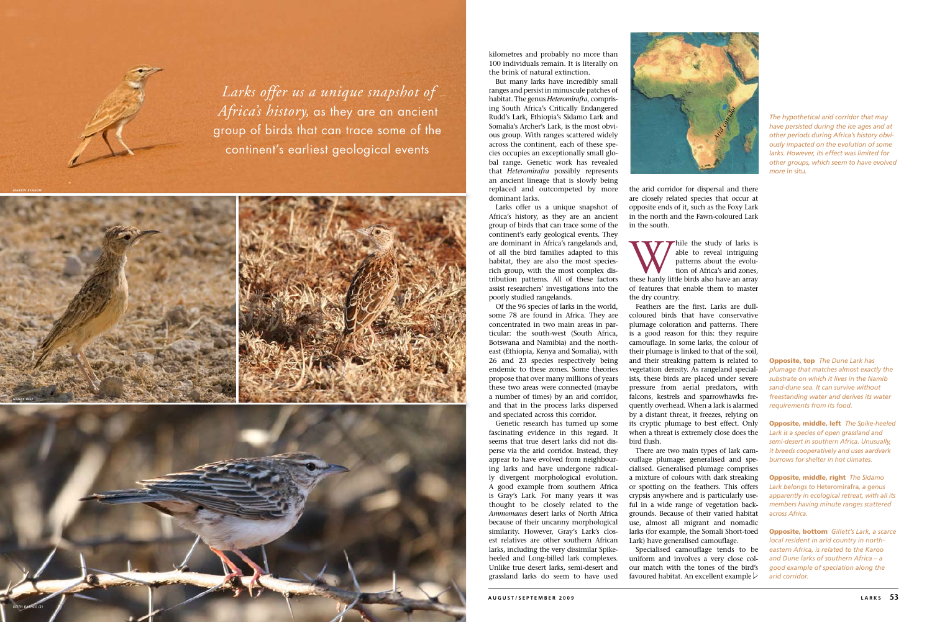kilometres and probably no more than 100 individuals remain. It is literally on the brink of natural extinction.

But many larks have incredibly small ranges and persist in minuscule patches of habitat. The genus *Heteromirafra*, compris ing South Africa's Critically Endangered Rudd's Lark, Ethiopia's Sidamo Lark and Somalia's Archer's Lark, is the most obvi ous group. With ranges scattered widely across the continent, each of these spe cies occupies an exceptionally small glo bal range. Genetic work has revealed that *Heteromirafra* possibly represents an ancient lineage that is slowly being replaced and outcompeted by more dominant larks.

Larks offer us a unique snapshot of Africa's history, as they are an ancient group of birds that can trace some of the continent's early geological events. They are dominant in Africa's rangelands and, of all the bird families adapted to this habitat, they are also the most speciesrich group, with the most complex distribution patterns. All of these factors assist researchers' investigations into the poorly studied rangelands.

While the study of larks is<br>
able to reveal intriguing<br>
patterns about the evolu-<br>
tion of Africa's arid zones,<br>
these hardy little birds also have an array able to reveal intriguing patterns about the evolu tion of Africa's arid zones, of features that enable them to master the dry country.

Of the 96 species of larks in the world, some 78 are found in Africa. They are concentrated in two main areas in par ticular: the south-west (South Africa, Botswana and Namibia) and the northeast (Ethiopia, Kenya and Somalia), with 26 and 23 species respectively being endemic to these zones. Some theories propose that over many millions of years these two areas were connected (maybe a number of times) by an arid corridor, and that in the process larks dispersed and speciated across this corridor.

> Specialised camouflage tends to be uniform and involves a very close col our match with the tones of the bird's favoured habitat. An excellent example  $\triangleright$

Genetic research has turned up some fascinating evidence in this regard. It seems that true desert larks did not dis perse via the arid corridor. Instead, they appear to have evolved from neighbour ing larks and have undergone radical ly divergent morphological evolution. A good example from southern Africa is Gray's Lark. For many years it was thought to be closely related to the *Ammomanes* desert larks of North Africa because of their uncanny morphological similarity. However, Gray's Lark's clos est relatives are other southern African larks, including the very dissimilar Spikeheeled and Long-billed lark complexes. Unlike true desert larks, semi-desert and grassland larks do seem to have used

the arid corridor for dispersal and there are closely related species that occur at opposite ends of it, such as the Foxy Lark in the north and the Fawn-coloured Lark in the south.

Feathers are the first. Larks are dullcoloured birds that have conservative plumage coloration and patterns. There is a good reason for this: they require camouflage. In some larks, the colour of their plumage is linked to that of the soil, and their streaking pattern is related to vegetation density. As rangeland special ists, these birds are placed under severe pressure from aerial predators, with falcons, kestrels and sparrowhawks fre quently overhead. When a lark is alarmed by a distant threat, it freezes, relying on its cryptic plumage to best effect. Only when a threat is extremely close does the bird flush.

There are two main types of lark cam ouflage plumage: generalised and spe cialised. Generalised plumage comprises a mixture of colours with dark streaking or spotting on the feathers. This offers crypsis anywhere and is particularly use ful in a wide range of vegetation back grounds. Because of their varied habitat use, almost all migrant and nomadic larks (for example, the Somali Short-toed Lark) have generalised camouflage.

Opposite, top *The Dune Lark has plumage that matches almost exactly the substrate on which it lives in the Namib sand-dune sea. It can survive without freestanding water and derives its water requirements from its food.* 

Opposite, middle, left *The Spike-heeled Lark is a species of open grassland and semi-desert in southern Africa. Unusually, it breeds cooperatively and uses aardvark burrows for shelter in hot climates.* 

Opposite, middle, right *The Sidamo Lark belongs to* Heteromirafra*, a genus apparently in ecological retreat, with all its members having minute ranges scattered across Africa.* 

Opposite, bottom *Gillett's Lark, a scarce local resident in arid country in northeastern Africa, is related to the Karoo and Dune larks of southern Africa – a good example of speciation along the arid corridor.* 





*The hypothetical arid corridor that may have persisted during the ice ages and at other periods during Africa's history obvi ously impacted on the evolution of some larks. However, its effect was limited for other groups, which seem to have evolved more* in situ*.* 



*Larks offer us a unique snapshot of Africa's history,* as they are an ancient group of birds that can trace some of the continent's earliest geological events